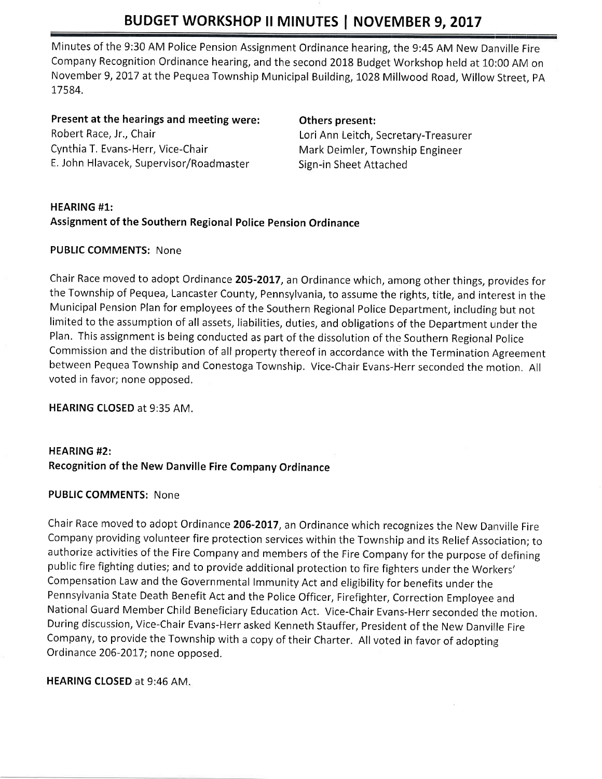# BUDGET WORKSHOP II MINUTES | NOVEMBER 9, 2017

Minutes of the 9:30 AM Police Pension Assignment Ordinance hearing, the 9:45 AM New Danville Fire Company Recognition Ordinance hearing, and the second 2018 Budget Workshop held at 10:00 AM on November 9,2017 at the Pequea Township Municipal Building, 1028 Millwood Road, Willow Street, pA 17584.

Present at the hearings and meeting were: Robert Race, Jr., Chair Cynthia T. Evans-Herr, Vice-Chair E, John Hlavacek, Supervisor/Roadmaster

### Others present:

Lori Ann Leitch, Secretary-Treasurer Mark Deimler, Township Engineer Sign-in Sheet Attached

# HEARING #1: Assignment of the Southern Regional Police pension Ordinance

## PUBLIC COMMENTS: None

Chair Race moved to adopt Ordinance 205-2017, an Ordinance which, among other things, provides for the Township of Pequea, Lancaster County, Pennsylvania, to assume the rights, title, and interest in the Municipal Pension Plan for employees of the Southern Regional Police Department, including but not limited to the assumption of all assets, liabilities, duties, and obligations of the Department under the Plan. This assignment is being conducted as part of the dissolution of the Southern Regional police Commission and the distribution of all property thereof in accordance with the Termination Agreement between Pequea Township and Conestoga Township. Vice-Chair Evans-Herr seconded the motion, All voted in favor; none opposed.

HEARING CLOSED at 9:35 AM.

# HEARING #2: Recognition of the New Danville Fire Company Ordinance

## PUBLIC COMMENTS: None

Chair Race moved to adopt Ordinance 206-2017, an Ordinance which recognizes the New Danville Fire Company providing volunteer fire protection services within the Township and its Relief Association; to authorize activities of the Fire Company and members of the Fire Company for the purpose of defining public fire fighting duties; and to provide additional protection to fire fighters under the Workers' Compensation Law and the Governmental lmmunity Act and eligibility for benefits under the Pennsylvania State Death Benefit Act and the Police Officer, Firefighter, Correction Employee and National Guard Member Child Beneficiary Education Act. Vice-Chair Evans-Herr seconded the motion. During discussion, Vice-Chair Evans-Herrasked Kenneth Stauffer, President of the New Danville Fire Company, to provide the Township with a copy of their Charter. All voted in favor of adopting Ordinance 206-2017; none opposed,

## HEARING CLOSED at 9:46 AM.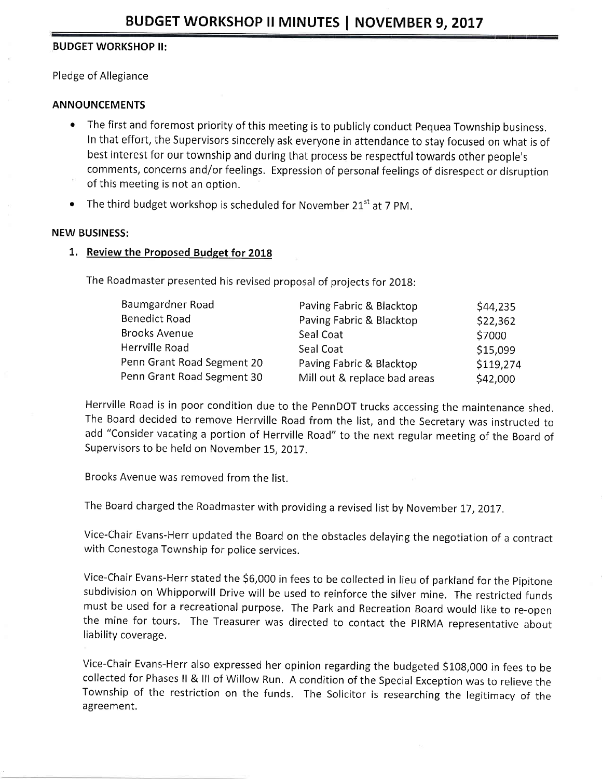### BUDGET WORKSHOP II:

Pledge of Allegiance

### ANNOUNCEMENTS

- The first and foremost priority of this meeting is to publicly conduct Pequea Township business. In that effort, the Supervisors sincerely ask everyone in attendance to stay focused on what is of best interest for our township and during that process be respectful towards other people's comments, concerns and/or feelings. Expression of personal feelings of disrespect or disruption of this meeting is not an option.
- The third budget workshop is scheduled for November 21 $^{st}$  at 7 PM.

#### NEW BUSINESS:

1. Review the Proposed Budget for 2018

The Roadmaster presented his revised proposal of projects for 2018:

| Baumgardner Road           | Paving Fabric & Blacktop     | \$44,235  |
|----------------------------|------------------------------|-----------|
| Benedict Road              | Paving Fabric & Blacktop     | \$22,362  |
| Brooks Avenue              | Seal Coat                    | \$7000    |
| Herrville Road             | Seal Coat                    | \$15,099  |
| Penn Grant Road Segment 20 | Paving Fabric & Blacktop     | \$119,274 |
| Penn Grant Road Segment 30 | Mill out & replace bad areas | \$42,000  |
|                            |                              |           |

Herrville Road is in poor condition due to the PennDOT trucks accessing the maintenance shed. The Board decided to remove Herrville Road from the list, and the Secretary was instructed to add "Consider vacating a portion of Herrville Road" to the next regular meeting of the Board of Supervisors to be held on November 15, 2017.

Brooks Avenue was removed from the list.

The Board charged the Roadmaster with providing a revised list by November 17, 2017.

Vice-Chair Evans-Herr updated the Board on the obstacles delaying the negotiation of a contract with Conestoga Township for police services.

Vice-Chair Evans-Herr stated the 56,000 in fees to be collected in lieu of parkland forthe pipitone subdivision on Whipporwill Drive will be used to reinforce the silver mine. The restricted funds must be used for a recreational purpose. The Park and Recreation Board would like to re-open the mine for tours. The Treasurer was directed to contact the PIRMA representative about liability coverage.

Vice-Chair Evans-Herr also expressed her opinion regarding the budgeted \$108,000 in fees to be collected for Phases ll & lll of Willow Run. A condition of the Special Exception was to relieve the Township of the restriction on the funds. The Solicitor is researching the legitimacy of the agreement.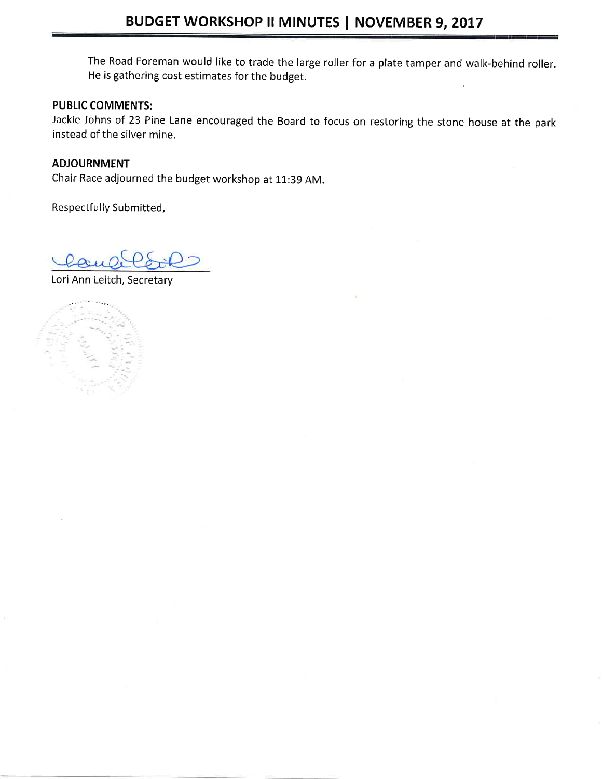The Road Foreman would like to trade the large roller for a plate tamper and walk-behind roller. He is gathering cost estimates for the budget.

# PUBLIC COMMENTS:

Jackie Johns of 23 Pine Lane encouraged the Board to focus on restoring the stone house at the park instead of the silver mine.

# ADJOURNMENT

Chair Race adjourned the budget workshop at 11:39 AM.

Respectfully Submitted,

Lori Ann Leitch, Secretary